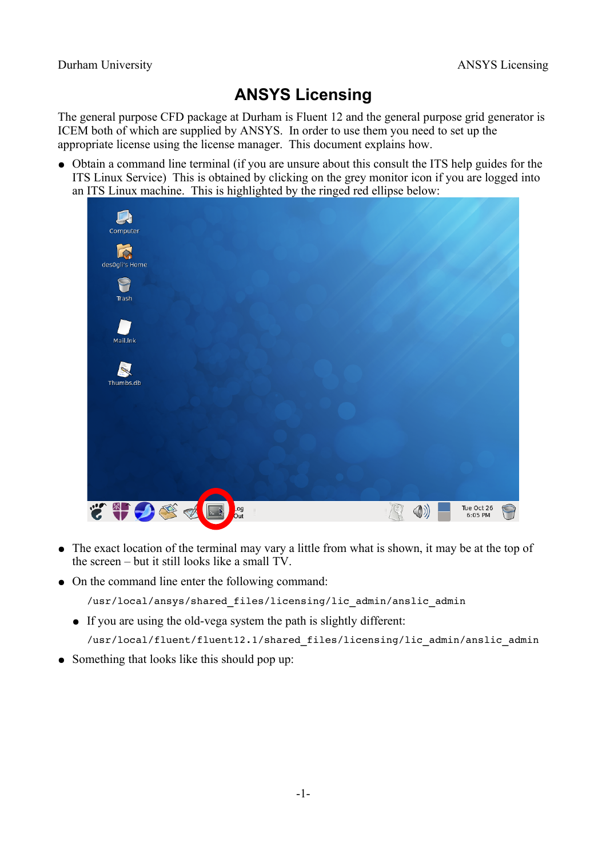## **ANSYS Licensing**

The general purpose CFD package at Durham is Fluent 12 and the general purpose grid generator is ICEM both of which are supplied by ANSYS. In order to use them you need to set up the appropriate license using the license manager. This document explains how.

• Obtain a command line terminal (if you are unsure about this consult the ITS help guides for the ITS Linux Service) This is obtained by clicking on the grey monitor icon if you are logged into an ITS Linux machine. This is highlighted by the ringed red ellipse below:



- The exact location of the terminal may vary a little from what is shown, it may be at the top of the screen – but it still looks like a small TV.
- On the command line enter the following command:

/usr/local/ansys/shared\_files/licensing/lic\_admin/anslic\_admin

● If you are using the old-vega system the path is slightly different:

/usr/local/fluent/fluent12.1/shared\_files/licensing/lic\_admin/anslic\_admin

• Something that looks like this should pop up: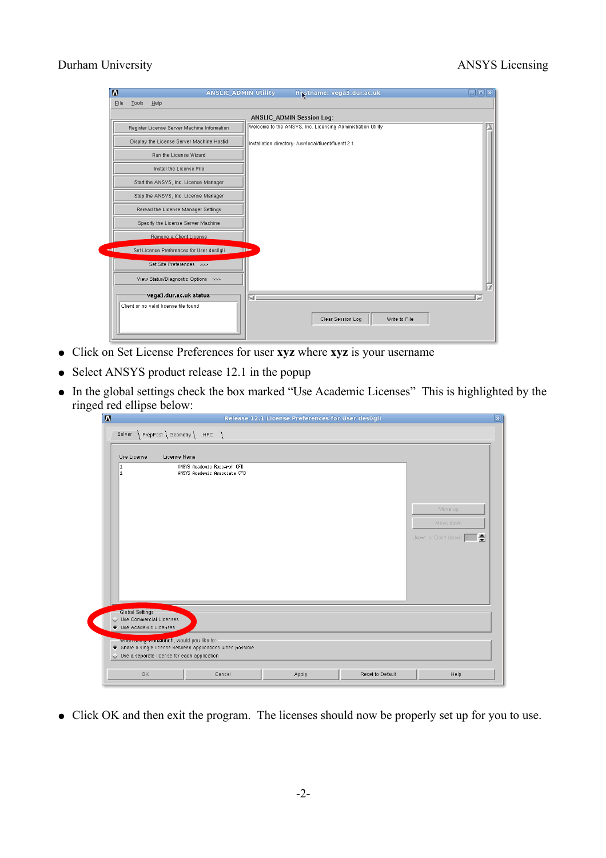## Durham University ANSYS Licensing

| $\blacksquare$            |      |                                             |    | <b>ANSLIC ADMIN Utility</b> | Hostname: vega3.dur.ac.uk                                   |               | $\Box$ io $x)$ |  |  |  |  |  |
|---------------------------|------|---------------------------------------------|----|-----------------------------|-------------------------------------------------------------|---------------|----------------|--|--|--|--|--|
|                           | Eile | Tools<br>He                                 |    |                             |                                                             |               |                |  |  |  |  |  |
| ANSLIC ADMIN Session Log: |      |                                             |    |                             |                                                             |               |                |  |  |  |  |  |
|                           |      | Register License Server Machine Information |    |                             | Welcome to the ANSYS, Inc. Licensing Administration Utility |               |                |  |  |  |  |  |
|                           |      | Display the License Server Machine Hostid   |    |                             | Installation directory: /usr/local/fluent/fluent12.1        |               |                |  |  |  |  |  |
|                           |      | Run the License Wizard                      |    |                             |                                                             |               |                |  |  |  |  |  |
|                           |      | Install the License File                    |    |                             |                                                             |               |                |  |  |  |  |  |
|                           |      | Start the ANSYS, Inc. License Manager       |    |                             |                                                             |               |                |  |  |  |  |  |
|                           |      | Stop the ANSYS, Inc. License Manager        |    |                             |                                                             |               |                |  |  |  |  |  |
|                           |      | Reread the License Manager Settings         |    |                             |                                                             |               |                |  |  |  |  |  |
|                           |      | Specify the License Server Machine          |    |                             |                                                             |               |                |  |  |  |  |  |
|                           |      | Remove a Client License                     |    |                             |                                                             |               |                |  |  |  |  |  |
| <b>-11</b>                |      | Set License Preferences for User des0gli    | Шь |                             |                                                             |               |                |  |  |  |  |  |
|                           |      | Set Site Preferences >>>                    |    |                             |                                                             |               |                |  |  |  |  |  |
|                           |      | View Status/Diagnostic Options >>>          |    |                             |                                                             |               |                |  |  |  |  |  |
|                           |      | vega3.dur.ac.uk status                      |    | ⊴.                          |                                                             |               | Þ              |  |  |  |  |  |
|                           |      | Client or no valid license file found       |    |                             |                                                             |               |                |  |  |  |  |  |
|                           |      |                                             |    |                             | Clear Session Log                                           | Write to File |                |  |  |  |  |  |
|                           |      |                                             |    |                             |                                                             |               |                |  |  |  |  |  |

- Click on Set License Preferences for user **xyz** where **xyz** is your username
- Select ANSYS product release 12.1 in the popup
- In the global settings check the box marked "Use Academic Licenses" This is highlighted by the ringed red ellipse below:

| $\overline{\mathbf{M}}$                                                                                                                       |                                                             | Release 12.1 License Preferences for User des0gli |                                        |
|-----------------------------------------------------------------------------------------------------------------------------------------------|-------------------------------------------------------------|---------------------------------------------------|----------------------------------------|
| Solver $\left\{ \text{PrepPost} \setminus \text{Geometry} \right\}$ HPC $\left\{ \right.$<br>Use License<br>License Name<br>1<br>$\mathbf{1}$ | ANSYS Academic Research CFD<br>ANSYS Academic Associate CFD |                                                   | Move up                                |
|                                                                                                                                               |                                                             |                                                   | Move down<br>₩<br>Use=1 or Don't Use=0 |
| Global Settings<br>Use Commercial Licenses<br>Use Academic Licenses                                                                           |                                                             |                                                   |                                        |
| Wrien-doing workpench, would you like to:<br>Use a separate license for each application                                                      | Share a single license between applications when possible   |                                                   |                                        |
|                                                                                                                                               |                                                             |                                                   |                                        |

● Click OK and then exit the program. The licenses should now be properly set up for you to use.